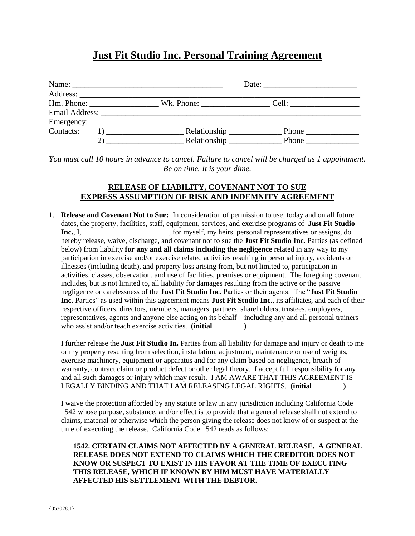## **Just Fit Studio Inc. Personal Training Agreement**

|            |    | Hm. Phone: ________________________Wk. Phone: ______________________Cell: __________________________ |              |  |
|------------|----|------------------------------------------------------------------------------------------------------|--------------|--|
|            |    |                                                                                                      |              |  |
| Emergency: |    |                                                                                                      |              |  |
| Contacts:  |    | Relationship __________<br>, , , , , , , , <u>, , , , , , , , , ,</u>                                |              |  |
|            | 2) | Relationship _________<br>the control of the control of the control of                               | <b>Phone</b> |  |

*You must call 10 hours in advance to cancel. Failure to cancel will be charged as 1 appointment. Be on time. It is your dime.*

## **RELEASE OF LIABILITY, COVENANT NOT TO SUE EXPRESS ASSUMPTION OF RISK AND INDEMNITY AGREEMENT**

1. **Release and Covenant Not to Sue:** In consideration of permission to use, today and on all future dates, the property, facilities, staff, equipment, services, and exercise programs of **Just Fit Studio**  Inc., I, \_\_\_\_\_\_\_\_\_\_\_\_\_\_\_\_\_\_\_\_\_\_, for myself, my heirs, personal representatives or assigns, do hereby release, waive, discharge, and covenant not to sue the **Just Fit Studio Inc.** Parties (as defined below) from liability **for any and all claims including the negligence** related in any way to my participation in exercise and/or exercise related activities resulting in personal injury, accidents or illnesses (including death), and property loss arising from, but not limited to, participation in activities, classes, observation, and use of facilities, premises or equipment. The foregoing covenant includes, but is not limited to, all liability for damages resulting from the active or the passive negligence or carelessness of the **Just Fit Studio Inc.** Parties or their agents. The "**Just Fit Studio Inc.** Parties" as used within this agreement means **Just Fit Studio Inc.**, its affiliates, and each of their respective officers, directors, members, managers, partners, shareholders, trustees, employees, representatives, agents and anyone else acting on its behalf – including any and all personal trainers who assist and/or teach exercise activities. **(initial \_\_\_\_\_\_\_\_)**

I further release the **Just Fit Studio In.** Parties from all liability for damage and injury or death to me or my property resulting from selection, installation, adjustment, maintenance or use of weights, exercise machinery, equipment or apparatus and for any claim based on negligence, breach of warranty, contract claim or product defect or other legal theory. I accept full responsibility for any and all such damages or injury which may result. I AM AWARE THAT THIS AGREEMENT IS LEGALLY BINDING AND THAT I AM RELEASING LEGAL RIGHTS. **(initial \_\_\_\_\_\_\_\_)**

I waive the protection afforded by any statute or law in any jurisdiction including California Code 1542 whose purpose, substance, and/or effect is to provide that a general release shall not extend to claims, material or otherwise which the person giving the release does not know of or suspect at the time of executing the release. California Code 1542 reads as follows:

**1542. CERTAIN CLAIMS NOT AFFECTED BY A GENERAL RELEASE. A GENERAL RELEASE DOES NOT EXTEND TO CLAIMS WHICH THE CREDITOR DOES NOT KNOW OR SUSPECT TO EXIST IN HIS FAVOR AT THE TIME OF EXECUTING THIS RELEASE, WHICH IF KNOWN BY HIM MUST HAVE MATERIALLY AFFECTED HIS SETTLEMENT WITH THE DEBTOR.**